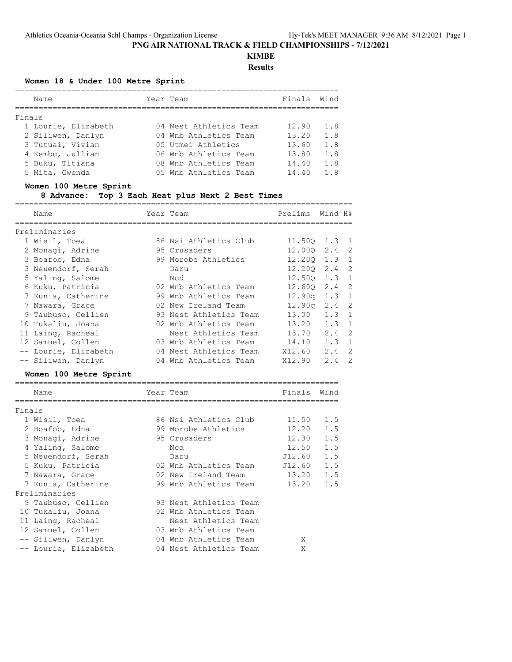# **KIMBE**

**Results**

## **Women 18 & Under 100 Metre Sprint**

|        | Name                | Year Team              | Finals | Wind |
|--------|---------------------|------------------------|--------|------|
| Finals |                     |                        |        |      |
|        | 1 Lourie, Elizabeth | 04 Nest Athletics Team | 12.90  | 1.8  |
|        | 2 Siliwen, Danlyn   | 04 Wnb Athletics Team  | 13.20  | 1.8  |
|        | 3 Tutuai, Vivian    | 05 Utmei Athletics     | 13.60  | 1.8  |
|        | 4 Kembu, Jullian    | 06 Wnb Athletics Team  | 13.80  | 1.8  |
|        | 5 Buku, Titiana     | 08 Wnb Athletics Team  | 14.40  | 1.8  |
|        | 5 Mita, Gwenda      | 05 Wnb Athletics Team  | 14.40  | 1 8  |

## **Women 100 Metre Sprint**

## **8 Advance: Top 3 Each Heat plus Next 2 Best Times**

| Name                 | Year Team              | Prelims            | Wind H#       |   |
|----------------------|------------------------|--------------------|---------------|---|
| Preliminaries        |                        |                    |               |   |
| 1 Wisil, Toea        | 86 Nsi Athletics Club  | 11.500 1.3 1       |               |   |
| 2 Monagi, Adrine     | 95 Crusaders           | $12.000$ $2.4$ 2   |               |   |
| 3 Boafob, Edna       | 99 Morobe Athletics    | 12.200 1.3 1       |               |   |
| 3 Neuendorf, Serah   | Daru                   | $12.200$ $2.4$ 2   |               |   |
| 5 Yaling, Salome     | Ncd                    | 12.500 1.3 1       |               |   |
| 6 Kuku, Patricia     | 02 Wnb Athletics Team  | $12.600$ $2.4$ 2   |               |   |
| 7 Kunia, Catherine   | 99 Wnb Athletics Team  | 12.90q             | $1.3-1$       |   |
| 7 Nawara, Grace      | 02 New Ireland Team    | 12.90 <sub>q</sub> | 2.4 2         |   |
| 9 Taubuso, Cellien   | 93 Nest Athletics Team | 13.00              | $1.3 \quad 1$ |   |
| 10 Tukaliu, Joana    | 02 Wnb Athletics Team  | 13.20              | $1.3 \quad 1$ |   |
| 11 Laing, Racheal    | Nest Athletics Team    | 13.70              | $2.4 \quad 2$ |   |
| 12 Samuel, Collen    | 03 Wnb Athletics Team  | 14.10              | $1.3 \quad 1$ |   |
| -- Lourie, Elizabeth | 04 Nest Athletics Team | X12.60             | $2.4 \quad 2$ |   |
| -- Siliwen, Danlyn   | 04 Wnb Athletics Team  | X12.90             | 2.4           | 2 |

## **Women 100 Metre Sprint**

|        | Name                 | Year Team              | Finals | Wind |
|--------|----------------------|------------------------|--------|------|
|        |                      |                        |        |      |
| Finals |                      |                        |        |      |
|        | 1 Wisil, Toea        | 86 Nsi Athletics Club  | 11.50  | 1.5  |
|        | 2 Boafob, Edna       | 99 Morobe Athletics    | 12.20  | 1.5  |
|        | 3 Monagi, Adrine     | 95 Crusaders           | 12.30  | 1.5  |
|        | 4 Yaling, Salome     | Ncd                    | 12.50  | 1.5  |
|        | 5 Neuendorf, Serah   | Daru                   | J12.60 | 1.5  |
|        | 5 Kuku, Patricia     | 02 Wnb Athletics Team  | J12.60 | 1.5  |
|        | 7 Nawara, Grace      | 02 New Ireland Team    | 13.20  | 1.5  |
|        | 7 Kunia, Catherine   | 99 Wnb Athletics Team  | 13.20  | 1.5  |
|        | Preliminaries        |                        |        |      |
|        | 9 Taubuso, Cellien   | 93 Nest Athletics Team |        |      |
|        | 10 Tukaliu, Joana    | 02 Wnb Athletics Team  |        |      |
|        | 11 Laing, Racheal    | Nest Athletics Team    |        |      |
|        | 12 Samuel, Collen    | 03 Wnb Athletics Team  |        |      |
|        | -- Siliwen, Danlyn   | 04 Wnb Athletics Team  | X      |      |
|        | -- Lourie, Elizabeth | 04 Nest Athletics Team | X      |      |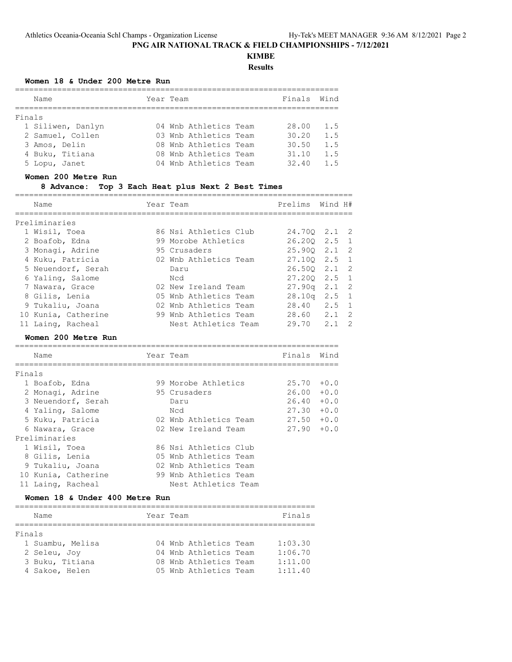## **KIMBE Results**

## **Women 18 & Under 200 Metre Run**

|        | Name                                                   | Year Team |                                                                         | Finals                  | Wind                   |
|--------|--------------------------------------------------------|-----------|-------------------------------------------------------------------------|-------------------------|------------------------|
| Finals |                                                        |           |                                                                         |                         |                        |
|        | 1 Siliwen, Danlyn<br>2 Samuel, Collen<br>3 Amos, Delin |           | 04 Wnb Athletics Team<br>03 Wnb Athletics Team<br>08 Wnb Athletics Team | 28.00<br>30.20<br>30.50 | 1.5<br>1.5<br>1.5      |
|        | 4 Buku, Titiana<br>5 Lopu, Janet                       |           | 08 Wnb Athletics Team<br>04 Wnb Athletics Team                          | 31.10<br>32.40          | 1.5<br>$1\overline{5}$ |

#### **Women 200 Metre Run**

#### **8 Advance: Top 3 Each Heat plus Next 2 Best Times**

|        |                                                         | ============================ |                 |      |              |
|--------|---------------------------------------------------------|------------------------------|-----------------|------|--------------|
|        | Name                                                    | Year Team                    | Prelims Wind H# |      |              |
|        | Preliminaries                                           |                              |                 |      |              |
|        | 1 Wisil, Toea                                           | 86 Nsi Athletics Club        | 24.700 2.1 2    |      |              |
|        | 2 Boafob, Edna                                          | 99 Morobe Athletics          | 26.200 2.5      |      | $\mathbf{1}$ |
|        | 3 Monagi, Adrine                                        | 95 Crusaders                 | 25.900 2.1      |      | 2            |
|        | 4 Kuku, Patricia                                        | 02 Wnb Athletics Team        | 27.100 2.5      |      | $\mathbf 1$  |
|        | 5 Neuendorf, Serah                                      | Daru                         | $26.50Q$ $2.1$  |      | 2            |
|        | 6 Yaling, Salome                                        | Ncd                          | $27.200$ 2.5    |      | $\mathbf{1}$ |
|        |                                                         | 02 New Ireland Team          |                 |      | 2            |
|        | 7 Nawara, Grace                                         |                              | $27.90q$ $2.1$  |      | $\mathbf{1}$ |
|        | 8 Gilis, Lenia                                          | 05 Wnb Athletics Team        | $28.10q$ 2.5    |      |              |
|        | 9 Tukaliu, Joana                                        | 02 Wnb Athletics Team        | 28.40 2.5       |      | $\mathbf{1}$ |
|        | 10 Kunia, Catherine               99 Wnb Athletics Team |                              | 28.60 2.1       |      | 2            |
|        | 11 Laing, Racheal                                       | Nest Athletics Team          | 29.70 2.1       |      | 2            |
|        |                                                         |                              |                 |      |              |
|        | Women 200 Metre Run                                     |                              |                 |      |              |
|        | Name                                                    | Year Team                    | Finals          | Wind |              |
| Finals |                                                         |                              |                 |      |              |
|        |                                                         | 99 Morobe Athletics          | $25.70 + 0.0$   |      |              |
|        | 1 Boafob, Edna                                          | 95 Crusaders                 | $26.00 + 0.0$   |      |              |
|        | 2 Monagi, Adrine                                        | Daru                         | $26.40 + 0.0$   |      |              |
|        | 3 Neuendorf, Serah                                      | Ncd                          | $27.30 + 0.0$   |      |              |
|        | 4 Yaling, Salome                                        | 02 Wnb Athletics Team        | $27.50 + 0.0$   |      |              |
|        | 5 Kuku, Patricia                                        | 02 New Ireland Team          |                 |      |              |
|        | 6 Nawara, Grace<br>Preliminaries                        |                              | $27.90 + 0.0$   |      |              |
|        |                                                         | 86 Nsi Athletics Club        |                 |      |              |
|        | 1 Wisil, Toea<br>8 Gilis, Lenia                         | 05 Wnb Athletics Team        |                 |      |              |

## **Women 18 & Under 400 Metre Run**

| Name             | Year Team |                       | Finals  |
|------------------|-----------|-----------------------|---------|
|                  |           |                       |         |
| Finals           |           |                       |         |
| 1 Suambu, Melisa |           | 04 Wnb Athletics Team | 1:03.30 |
| 2 Seleu, Joy     |           | 04 Wnb Athletics Team | 1:06.70 |
| 3 Buku, Titiana  |           | 08 Wnb Athletics Team | 1:11.00 |
| 4 Sakoe, Helen   |           | 05 Wnb Athletics Team | 1:11.40 |

 10 Kunia, Catherine 99 Wnb Athletics Team 11 Laing, Racheal Mest Athletics Team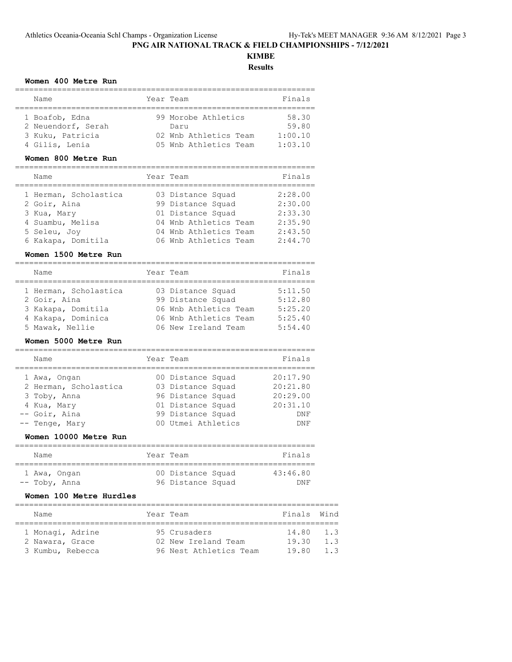# **KIMBE**

**Results**

#### **Women 400 Metre Run**

| Name                                                                       | Year Team                                                                     | Finals                               |
|----------------------------------------------------------------------------|-------------------------------------------------------------------------------|--------------------------------------|
| 1 Boafob, Edna<br>2 Neuendorf, Serah<br>3 Kuku, Patricia<br>4 Gilis, Lenia | 99 Morobe Athletics<br>Daru<br>02 Wnb Athletics Team<br>05 Wnb Athletics Team | 58.30<br>59.80<br>1:00.10<br>1:03.10 |

#### **Women 800 Metre Run**

| Name                  | Year Team             | Finals  |
|-----------------------|-----------------------|---------|
| 1 Herman, Scholastica | 03 Distance Squad     | 2:28.00 |
| 2 Goir, Aina          | 99 Distance Squad     | 2:30.00 |
| 3 Kua, Mary           | 01 Distance Squad     | 2:33.30 |
| 4 Suambu, Melisa      | 04 Wnb Athletics Team | 2:35.90 |
| 5 Seleu, Joy          | 04 Wnb Athletics Team | 2:43.50 |
| 6 Kakapa, Domitila    | 06 Wnb Athletics Team | 2:44.70 |

#### **Women 1500 Metre Run**

| Name                  | Year Team             | Finals  |
|-----------------------|-----------------------|---------|
| 1 Herman, Scholastica | 03 Distance Squad     | 5:11.50 |
| 2 Goir, Aina          | 99 Distance Squad     | 5:12.80 |
| 3 Kakapa, Domitila    | 06 Wnb Athletics Team | 5:25.20 |
| 4 Kakapa, Dominica    | 06 Wnb Athletics Team | 5:25.40 |
| 5 Mawak, Nellie       | 06 New Ireland Team   | 5:54.40 |

### **Women 5000 Metre Run**

| Name                  | Year Team          | Finals   |
|-----------------------|--------------------|----------|
| 1 Awa, Ongan          | 00 Distance Squad  | 20:17.90 |
| 2 Herman, Scholastica | 03 Distance Squad  | 20:21.80 |
| 3 Toby, Anna          | 96 Distance Squad  | 20:29.00 |
| 4 Kua, Mary           | 01 Distance Squad  | 20:31.10 |
| -- Goir, Aina         | 99 Distance Squad  | DNF      |
| -- Tenge, Mary        | 00 Utmei Athletics | DNF      |

#### **Women 10000 Metre Run**

| Name          | Year Team         | Finals   |
|---------------|-------------------|----------|
| 1 Awa, Ongan  | 00 Distance Squad | 43:46.80 |
| -- Toby, Anna | 96 Distance Squad | DNF      |

#### **Women 100 Metre Hurdles**

| Name             |  | Year Team              | Finals Wind |                  |  |  |  |  |
|------------------|--|------------------------|-------------|------------------|--|--|--|--|
|                  |  |                        |             |                  |  |  |  |  |
| 1 Monagi, Adrine |  | 95 Crusaders           | 14.80       | 1.3              |  |  |  |  |
| 2 Nawara, Grace  |  | 02 New Ireland Team    | 19.30       | $1 \overline{3}$ |  |  |  |  |
| 3 Kumbu, Rebecca |  | 96 Nest Athletics Team | 19 80       | $1 \overline{3}$ |  |  |  |  |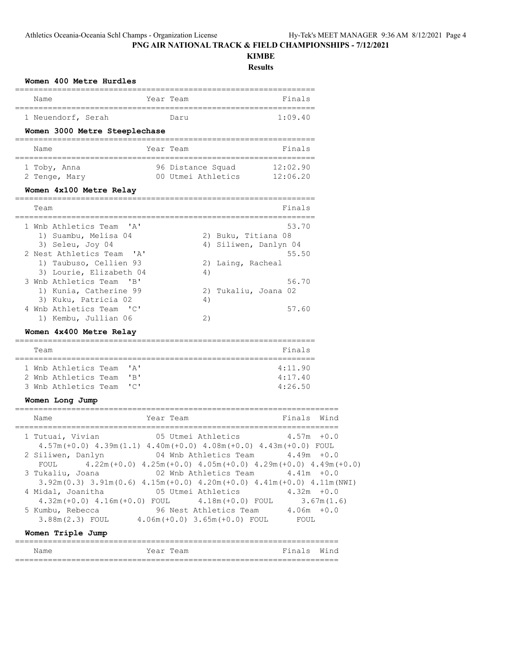**Women 400 Metre Hurdles**

**PNG AIR NATIONAL TRACK & FIELD CHAMPIONSHIPS - 7/12/2021**

## **KIMBE**

**Results**

| 1 Neuendorf, Serah<br>1:09.40<br>Daru                                                                                                                                                                                                                                                                                                                                                                                                                                      |                  |
|----------------------------------------------------------------------------------------------------------------------------------------------------------------------------------------------------------------------------------------------------------------------------------------------------------------------------------------------------------------------------------------------------------------------------------------------------------------------------|------------------|
| Women 3000 Metre Steeplechase                                                                                                                                                                                                                                                                                                                                                                                                                                              |                  |
| Year Team<br>Name<br>Finals                                                                                                                                                                                                                                                                                                                                                                                                                                                |                  |
| 96 Distance Squad<br>1 Toby, Anna<br>12:02.90<br>00 Utmei Athletics 12:06.20<br>2 Tenge, Mary<br>Women 4x100 Metre Relay                                                                                                                                                                                                                                                                                                                                                   |                  |
| Team<br>Finals                                                                                                                                                                                                                                                                                                                                                                                                                                                             |                  |
| 53.70<br>1 Wnb Athletics Team<br>$^{\prime}$ A $^{\prime}$<br>1) Suambu, Melisa 04<br>2) Buku, Titiana 08<br>3) Seleu, Joy 04<br>4) Siliwen, Danlyn 04<br>2 Nest Athletics Team 'A'<br>55.50<br>1) Taubuso, Cellien 93<br>2)<br>Laing, Racheal<br>3) Lourie, Elizabeth 04<br>4)<br>3 Wnb Athletics Team 'B'<br>56.70<br>1) Kunia, Catherine 99<br>Tukaliu, Joana 02<br>2)<br>3) Kuku, Patricia 02<br>4)<br>4 Wnb Athletics Team 'C'<br>57.60<br>2)<br>1) Kembu, Jullian 06 |                  |
| Women 4x400 Metre Relay                                                                                                                                                                                                                                                                                                                                                                                                                                                    |                  |
|                                                                                                                                                                                                                                                                                                                                                                                                                                                                            |                  |
| Team<br>Finals                                                                                                                                                                                                                                                                                                                                                                                                                                                             |                  |
| $^{\prime}$ A $^{\prime}$<br>4:11.90<br>1 Wnb Athletics Team<br>"B"<br>4:17.40<br>2 Wnb Athletics Team<br>"C"<br>4:26.50<br>3 Wnb Athletics Team                                                                                                                                                                                                                                                                                                                           |                  |
| Women Long Jump                                                                                                                                                                                                                                                                                                                                                                                                                                                            |                  |
| Finals<br>Name<br>Year Team                                                                                                                                                                                                                                                                                                                                                                                                                                                | Wind             |
| 1 Tutuai, Vivian<br>05 Utmei Athletics<br>4.57m<br>$4.57m (+0.0)$ $4.39m (1.1)$ $4.40m (+0.0)$ $4.08m (+0.0)$ $4.43m (+0.0)$ FOUL<br>2 Siliwen, Danlyn<br>04 Wnb Athletics Team<br>4.49m                                                                                                                                                                                                                                                                                   | $+0.0$<br>$+0.0$ |
| $4.22m (+0.0)$ $4.25m (+0.0)$ $4.05m (+0.0)$ $4.29m (+0.0)$ $4.49m (+0.0)$<br>FOUL<br>02 Wnb Athletics Team<br>3 Tukaliu, Joana<br>$4.41m + 0.0$                                                                                                                                                                                                                                                                                                                           |                  |
| $3.92m(0.3)$ $3.91m(0.6)$ $4.15m(+0.0)$ $4.20m(+0.0)$ $4.41m(+0.0)$ $4.11m(NWI)$<br>4 Midal, Joanitha<br>05 Utmei Athletics<br>$4.32m + 0.0$                                                                                                                                                                                                                                                                                                                               | 3.67m(1.6)       |
| $4.32m (+0.0) 4.16m (+0.0) FOUL$<br>$4.18m (+0.0)$ FOUL<br>96 Nest Athletics Team 4.06m +0.0<br>5 Kumbu, Rebecca<br>3.88m(2.3) FOUL 4.06m(+0.0) 3.65m(+0.0) FOUL<br>FOUL                                                                                                                                                                                                                                                                                                   |                  |
| Women Triple Jump                                                                                                                                                                                                                                                                                                                                                                                                                                                          |                  |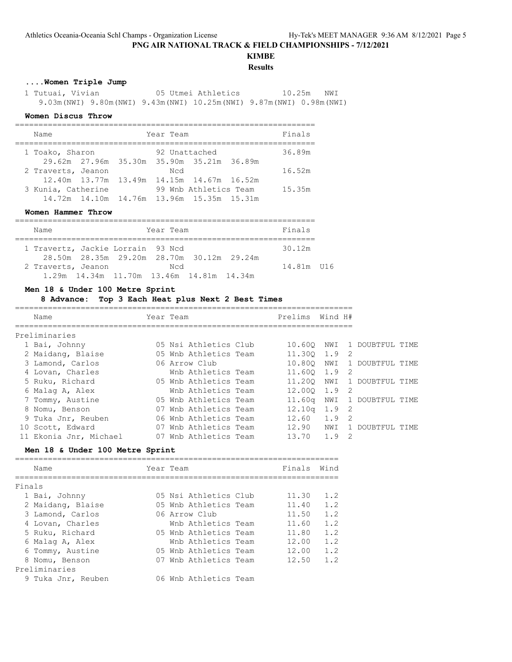## **KIMBE**

## **Results**

## **....Women Triple Jump**

 1 Tutuai, Vivian 05 Utmei Athletics 10.25m NWI 9.03m(NWI) 9.80m(NWI) 9.43m(NWI) 10.25m(NWI) 9.87m(NWI) 0.98m(NWI)

#### **Women Discus Throw**

| Name               |  | Year Team |                                                | Finals |
|--------------------|--|-----------|------------------------------------------------|--------|
| 1 Toako, Sharon    |  |           | 92 Unattached                                  | 36.89m |
|                    |  |           | 29.62m 27.96m 35.30m 35.90m 35.21m 36.89m      |        |
| 2 Traverts, Jeanon |  | Ncd       |                                                | 16.52m |
|                    |  |           | 12.40m 13.77m 13.49m 14.15m 14.67m 16.52m      |        |
| 3 Kunia, Catherine |  |           | 99 Wnb Athletics Team                          | 15.35m |
|                    |  |           | 14.72m  14.10m  14.76m  13.96m  15.35m  15.31m |        |

#### **Women Hammer Throw**

|  | Name                              |                                           |  |  | Year Team |  |  |  | Finals     |  |
|--|-----------------------------------|-------------------------------------------|--|--|-----------|--|--|--|------------|--|
|  |                                   |                                           |  |  |           |  |  |  |            |  |
|  | 1 Travertz, Jackie Lorrain 93 Ncd |                                           |  |  |           |  |  |  | 30.12m     |  |
|  |                                   | 28.50m 28.35m 29.20m 28.70m 30.12m 29.24m |  |  |           |  |  |  |            |  |
|  | 2 Traverts, Jeanon                |                                           |  |  | Ned       |  |  |  | 14.81m U16 |  |
|  |                                   | 1.29m 14.34m 11.70m 13.46m 14.81m 14.34m  |  |  |           |  |  |  |            |  |

## **Men 18 & Under 100 Metre Sprint**

#### **8 Advance: Top 3 Each Heat plus Next 2 Best Times**

| Name               | Year Team |                       |  | Prelims                    | Wind H# |                |                 |       |  |  |
|--------------------|-----------|-----------------------|--|----------------------------|---------|----------------|-----------------|-------|--|--|
| Preliminaries      |           |                       |  |                            |         |                |                 |       |  |  |
| 1 Bai, Johnny      |           | 05 Nsi Athletics Club |  | 10.600                     | NWI     |                | 1 DOUBTFUL TIME |       |  |  |
| 2 Maidang, Blaise  |           | 05 Wnb Athletics Team |  | 11,300                     | 1.9     | $\overline{2}$ |                 |       |  |  |
| 3 Lamond, Carlos   |           | 06 Arrow Club         |  | 10.800                     | NWI     |                | DOUBTFUL TIME   |       |  |  |
| 4 Lovan, Charles   |           | Wnb Athletics Team    |  | 11.600 1.9                 |         | - 2            |                 |       |  |  |
| 5 Ruku, Richard    |           | 05 Wnb Athletics Team |  | 11,200                     | NWI     |                | 1 DOUBTFUL TIME |       |  |  |
| 6 Malaq A, Alex    |           | Wnb Athletics Team    |  | $12.000 \quad 1.9 \quad 2$ |         |                |                 |       |  |  |
| 7 Tommy, Austine   |           | 05 Wnb Athletics Team |  | $11.60\sigma$              | NWI     |                | DOUBTFUL TIME   |       |  |  |
| 8 Nomu, Benson     |           | 07 Wnb Athletics Team |  | 12.10 <sub>q</sub>         | 1.9 2   |                |                 |       |  |  |
| 9 Tuka Jnr, Reuben |           | 06 Wnb Athletics Team |  | 12.60                      | 1.9     | - 2            |                 |       |  |  |
| 10 Scott, Edward   |           | Wnb Athletics Team    |  | 12.90                      | NWI     |                | DOUBTFUL        | TTME. |  |  |

#### **Men 18 & Under 100 Metre Sprint**

|        | Name               | Year Team |                       | Finals | Wind |
|--------|--------------------|-----------|-----------------------|--------|------|
| Finals |                    |           |                       |        |      |
|        | 1 Bai, Johnny      |           | 05 Nsi Athletics Club | 11.30  | 1.2  |
|        | 2 Maidang, Blaise  |           | 05 Wnb Athletics Team | 11.40  | 1.2  |
|        | 3 Lamond, Carlos   |           | 06 Arrow Club         | 11.50  | 1.2  |
|        | 4 Lovan, Charles   |           | Wnb Athletics Team    | 11.60  | 1.2  |
|        | 5 Ruku, Richard    |           | 05 Wnb Athletics Team | 11.80  | 1.2  |
|        | 6 Malag A, Alex    |           | Wnb Athletics Team    | 12.00  | 1.2  |
|        | 6 Tommy, Austine   |           | 05 Wnb Athletics Team | 12.00  | 1.2  |
|        | 8 Nomu, Benson     |           | 07 Wnb Athletics Team | 12.50  | 1.2  |
|        | Preliminaries      |           |                       |        |      |
|        | 9 Tuka Jnr, Reuben |           | 06 Wnb Athletics Team |        |      |

11 Ekonia Jnr, Michael 07 Wnb Athletics Team 13.70 1.9 2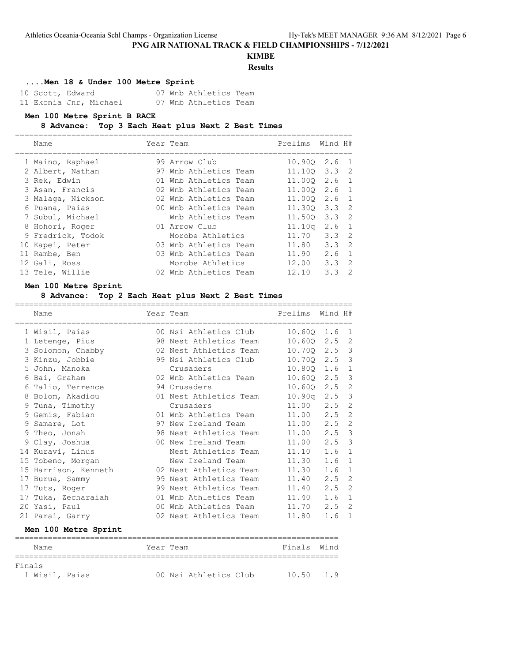# **KIMBE**

## **Results**

## **....Men 18 & Under 100 Metre Sprint**

| 10 Scott, Edward |                        |  | 07 Wnb Athletics Team |  |
|------------------|------------------------|--|-----------------------|--|
|                  | 11 Ekonia Jnr, Michael |  | 07 Wnb Athletics Team |  |

#### **Men 100 Metre Sprint B RACE**

#### **8 Advance: Top 3 Each Heat plus Next 2 Best Times**

| Name              | Year Team             | Prelims Wind H# |                  |  |
|-------------------|-----------------------|-----------------|------------------|--|
| 1 Maino, Raphael  | 99 Arrow Club         |                 | 10.900 2.6 1     |  |
| 2 Albert, Nathan  | 97 Wnb Athletics Team |                 | 11.100 3.3 2     |  |
| 3 Rek, Edwin      | 01 Wnb Athletics Team |                 | 11.000 2.6 1     |  |
| 3 Asan, Francis   | 02 Wnb Athletics Team |                 | 11.000 2.6 1     |  |
| 3 Malaga, Nickson | 02 Wnb Athletics Team |                 | 11.000 2.6 1     |  |
| 6 Puana, Paias    | 00 Wnb Athletics Team |                 | 11.300 3.3 2     |  |
| 7 Subul, Michael  | Wnb Athletics Team    |                 | 11.500 3.3 2     |  |
| 8 Hohori, Roger   | 01 Arrow Club         | 11.10q          | 2.6 <sub>1</sub> |  |
| 9 Fredrick, Todok | Morobe Athletics      | 11.70           | $3.3 \quad 2$    |  |
| 10 Kapei, Peter   | 03 Wnb Athletics Team | 11.80           | $3.3 \quad 2$    |  |
| 11 Rambe, Ben     | 03 Wnb Athletics Team | 11.90           | $2.6 \quad 1$    |  |
| 12 Gali, Ross     | Morobe Athletics      | 12.00           | $3.3 \quad 2$    |  |
| 13 Tele, Willie   | 02 Wnb Athletics Team | 12.10           | $3.3 \quad 2$    |  |
|                   |                       |                 |                  |  |

#### **Men 100 Metre Sprint**

## **8 Advance: Top 2 Each Heat plus Next 2 Best Times**

| Name                                     | ======================================<br>Year Team                                                            | Prelims Wind H# |     |                |
|------------------------------------------|----------------------------------------------------------------------------------------------------------------|-----------------|-----|----------------|
| 1 Wisil, Paias                           | 00 Nsi Athletics Club                                                                                          | 10.600 1.6 1    |     |                |
| 1 Letenge, Pius                          | 98 Nest Athletics Team                                                                                         | 10.600 2.5 2    |     |                |
| 3 Solomon, Chabby 62 Nest Athletics Team |                                                                                                                | 10.700 2.5 3    |     |                |
| 3 Kinzu, Jobbie                          | 99 Nsi Athletics Club                                                                                          | 10.700 2.5 3    |     |                |
| 5 John, Manoka                           | Crusaders                                                                                                      | 10.800 1.6      |     | $\mathbf{1}$   |
| 6 Bai, Graham                            | 02 Wnb Athletics Team                                                                                          | $10.60Q$ 2.5 3  |     |                |
| 6 Talio, Terrence                        | 94 Crusaders and the Second State of the Second State of the Second State of the Second State of the Second St | 10.60Q 2.5 2    |     |                |
| 8 Bolom, Akadiou                         | 01 Nest Athletics Team                                                                                         | 10.90q 2.5 3    |     |                |
| 9 Tuna, Timothy                          | Crusaders                                                                                                      | 11.00 2.5       |     | $\overline{c}$ |
| 9 Gemis, Fabian                          | 01 Wnb Athletics Team                                                                                          | 11.00 2.5       |     | $\overline{c}$ |
| 9 Samare, Lot                            | 97 New Ireland Team                                                                                            | 11.00 2.5       |     | $\overline{c}$ |
| 9 Theo, Jonah                            | 98 Nest Athletics Team                                                                                         | 11.00 2.5 3     |     |                |
| 9 Clay, Joshua                           | 00 New Ireland Team                                                                                            | $11.00$ $2.5$ 3 |     |                |
| 14 Kuravi, Linus                         | Nest Athletics Team                                                                                            | 11.10           | 1.6 | $\mathbf{1}$   |
| 15 Tobeno, Morgan                        | New Ireland Team                                                                                               | 11.30           | 1.6 | $\mathbf{1}$   |
| 15 Harrison, Kenneth                     | 02 Nest Athletics Team                                                                                         | 11.30           | 1.6 | $\mathbf 1$    |
| 17 Burua, Sammy                          | 99 Nest Athletics Team                                                                                         | 11.40           | 2.5 | $\overline{c}$ |
| 17 Tuts, Roger                           | 99 Nest Athletics Team                                                                                         | 11.40 2.5       |     | $\overline{c}$ |
| 17 Tuka, Zecharaiah                      | 01 Wnb Athletics Team                                                                                          | 11.40           | 1.6 | $\mathbf{1}$   |
| 20 Yasi, Paul                            | 00 Wnb Athletics Team 11.70 2.5                                                                                |                 |     | 2              |
| 21 Parai, Garry                          | 02 Nest Athletics Team                                                                                         | 11.80           | 1.6 | 1              |
| Men 100 Metre Sprint                     |                                                                                                                |                 |     |                |

| Name                     |  | Year Team |                       | Finals Wind |  |
|--------------------------|--|-----------|-----------------------|-------------|--|
| Finals<br>1 Wisil, Paias |  |           | 00 Nsi Athletics Club | 10.50 1.9   |  |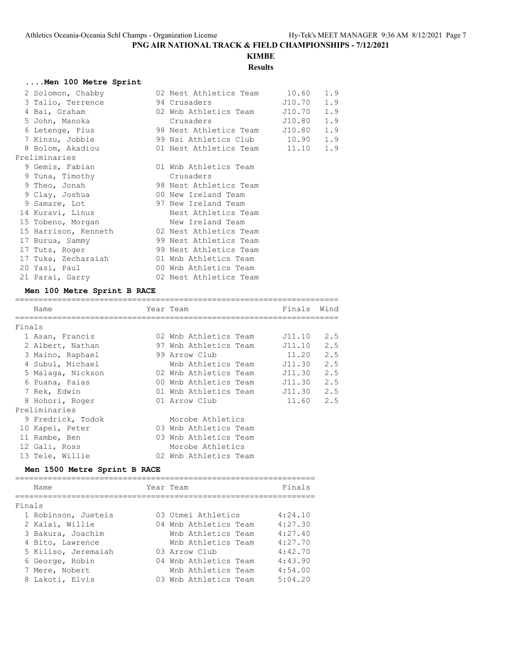## **KIMBE Results**

### **....Men 100 Metre Sprint**

| 2 Solomon, Chabby                             | 02 Nest Athletics Team 10.60                                                                                                                                                                                                    |        | 1.9 |
|-----------------------------------------------|---------------------------------------------------------------------------------------------------------------------------------------------------------------------------------------------------------------------------------|--------|-----|
| 3 Talio, Terrence                             | 94 Crusaders 510.70                                                                                                                                                                                                             |        | 1.9 |
| 4 Bai, Graham 62 Wnb Athletics Team 510.70    |                                                                                                                                                                                                                                 |        | 1.9 |
| 5 John, Manoka                                | Crusaders and the contract of the contract of the contract of the contract of the contract of the contract of the contract of the contract of the contract of the contract of the contract of the contract of the contract of t | J10.80 | 1.9 |
| 6 Letenge, Pius                               | 98 Nest Athletics Team J10.80                                                                                                                                                                                                   |        | 1.9 |
| 7 Kinzu, Jobbie                               | 99 Nsi Athletics Club 10.90 1.9                                                                                                                                                                                                 |        |     |
| 8 Bolom, Akadiou 61 Nest Athletics Team 11.10 |                                                                                                                                                                                                                                 |        | 1.9 |
| Preliminaries                                 |                                                                                                                                                                                                                                 |        |     |
| 9 Gemis, Fabian                               | 01 Wnb Athletics Team                                                                                                                                                                                                           |        |     |
| 9 Tuna, Timothy                               | Crusaders                                                                                                                                                                                                                       |        |     |
| 9 Theo, Jonah                                 | 98 Nest Athletics Team                                                                                                                                                                                                          |        |     |
| 9 Clay, Joshua                                | 00 New Ireland Team                                                                                                                                                                                                             |        |     |
| 9 Samare, Lot 6 97 New Ireland Team           |                                                                                                                                                                                                                                 |        |     |
| 14 Kuravi, Linus                              | Nest Athletics Team                                                                                                                                                                                                             |        |     |
| 15 Tobeno, Morgan New Ireland Team            |                                                                                                                                                                                                                                 |        |     |
| 15 Harrison, Kenneth 62 Nest Athletics Team   |                                                                                                                                                                                                                                 |        |     |
| 17 Burua, Sammy 99 Nest Athletics Team        |                                                                                                                                                                                                                                 |        |     |
| 17 Tuts, Roger                                | 99 Nest Athletics Team                                                                                                                                                                                                          |        |     |
| 17 Tuka, Zecharaiah 61 Wnb Athletics Team     |                                                                                                                                                                                                                                 |        |     |
| 20 Yasi, Paul                                 | 00 Wnb Athletics Team                                                                                                                                                                                                           |        |     |
| 21 Parai, Garry                               | 02 Nest Athletics Team                                                                                                                                                                                                          |        |     |

#### **Men 100 Metre Sprint B RACE**

|        | Name              | Year Team             | Finals     | Wind |
|--------|-------------------|-----------------------|------------|------|
|        |                   |                       |            |      |
| Finals |                   |                       |            |      |
|        | 1 Asan, Francis   | 02 Wnb Athletics Team | J11.10     | 2.5  |
|        | 2 Albert, Nathan  | 97 Wnb Athletics Team | J11.10     | 2.5  |
|        | 3 Maino, Raphael  | 99 Arrow Club         | 11.20      | 2.5  |
|        | 4 Subul, Michael  | Wnb Athletics Team    | J11.30     | 2.5  |
|        | 5 Malaga, Nickson | 02 Wnb Athletics Team | J11.30     | 2.5  |
|        | 6 Puana, Paias    | 00 Wnb Athletics Team | J11.30     | 2.5  |
|        | 7 Rek, Edwin      | 01 Wnb Athletics Team | J11.30 2.5 |      |
|        | 8 Hohori, Roger   | 01 Arrow Club         | 11.60      | 2.5  |
|        | Preliminaries     |                       |            |      |
|        | 9 Fredrick, Todok | Morobe Athletics      |            |      |
|        | 10 Kapei, Peter   | 03 Wnb Athletics Team |            |      |
|        | 11 Rambe, Ben     | 03 Wnb Athletics Team |            |      |
|        | 12 Gali, Ross     | Morobe Athletics      |            |      |
|        | 13 Tele, Willie   | 02 Wnb Athletics Team |            |      |
|        |                   |                       |            |      |

#### **Men 1500 Metre Sprint B RACE**

================================================================ Name **Name Name Parameter Team Property Property Property Property Property Property Property Property Property Property Property Property Property Property Property Property Property** ================================================================ Finals 1 Robinson, Jueteis 03 Utmei Athletics 4:24.10 2 Kalai, Willie 04 Wnb Athletics Team 4:27.30 3 Bakura, Joachim Wnb Athletics Team 4:27.40 4 Bito, Lawrence Wnb Athletics Team 4:27.70 5 Kiliso, Jeremaiah 03 Arrow Club 4:42.70 6 George, Robin 04 Wnb Athletics Team 4:43.90 7 Mere, Nobert Wnb Athletics Team 4:54.00 8 Lakoti, Elvis 03 Wnb Athletics Team 5:04.20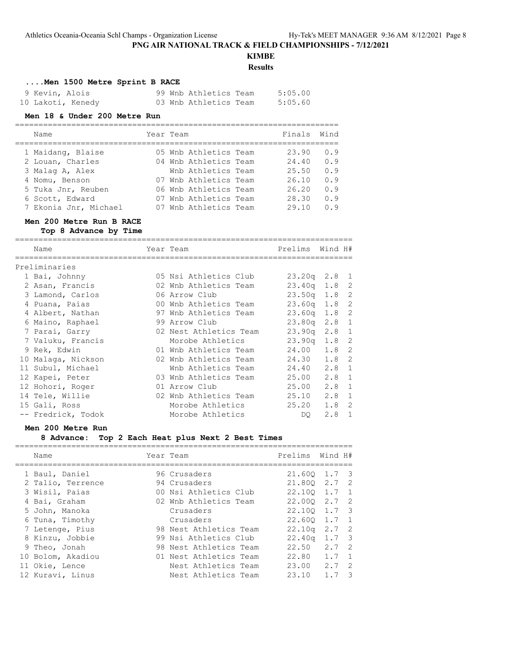## **KIMBE**

**Results**

#### **....Men 1500 Metre Sprint B RACE**

| 9 Kevin, Alois    | 99 Wnb Athletics Team | 5:05.00 |
|-------------------|-----------------------|---------|
| 10 Lakoti, Kenedy | 03 Wnb Athletics Team | 5:05.60 |

#### **Men 18 & Under 200 Metre Run**

| Name                  | Year Team |                       | Finals | Wind |
|-----------------------|-----------|-----------------------|--------|------|
| 1 Maidang, Blaise     |           | 05 Wnb Athletics Team | 23.90  | 0.9  |
| 2 Louan, Charles      |           | 04 Wnb Athletics Team | 24.40  | 0.9  |
| 3 Malag A, Alex       |           | Wnb Athletics Team    | 25.50  | 0.9  |
| 4 Nomu, Benson        |           | 07 Wnb Athletics Team | 26.10  | 0.9  |
| 5 Tuka Jnr, Reuben    |           | 06 Wnb Athletics Team | 26.20  | 0.9  |
| 6 Scott, Edward       |           | 07 Wnb Athletics Team | 28.30  | 0.9  |
| 7 Ekonia Jnr, Michael |           | 07 Wnb Athletics Team | 29.10  | 0.9  |

=====================================================================

#### **Men 200 Metre Run B RACE**

**Top 8 Advance by Time**

======================================================================== Name Year Team Prelims Wind H# ======================================================================== Preliminaries 1 Bai, Johnny 05 Nsi Athletics Club 23.20q 2.8 1 2 Asan, Francis 02 Wnb Athletics Team 23.40q 1.8 2 3 Lamond, Carlos 06 Arrow Club 23.50q 1.8 2 4 Puana, Paias 00 Wnb Athletics Team 23.60q 1.8 2 4 Albert, Nathan 97 Wnb Athletics Team 23.60q 1.8 2 6 Maino, Raphael 99 Arrow Club 23.80q 2.8 1 7 Parai, Garry 02 Nest Athletics Team 23.90q 2.8 1 7 Valuku, Francis Morobe Athletics 23.90q 1.8 2 9 Rek, Edwin 01 Wnb Athletics Team 24.00 1.8 2 10 Malaga, Nickson 02 Wnb Athletics Team 24.30 1.8 2 11 Subul, Michael Wnb Athletics Team 24.40 2.8 1 12 Kapei, Peter 03 Wnb Athletics Team 25.00 2.8 1 12 Hohori, Roger 01 Arrow Club 25.00 2.8 1 14 Tele, Willie 02 Wnb Athletics Team 25.10 2.8 1 15 Gali, Ross Morobe Athletics 25.20 1.8 2 -- Fredrick, Todok Morobe Athletics DQ 2.8 1

#### **Men 200 Metre Run**

#### **8 Advance: Top 2 Each Heat plus Next 2 Best Times**

| Name              | Year Team              | Prelims          | Wind H#       |                         |
|-------------------|------------------------|------------------|---------------|-------------------------|
| 1 Baul, Daniel    | 96 Crusaders           | 21,600           | 1.7           | $\overline{\mathbf{3}}$ |
| 2 Talio, Terrence | 94 Crusaders           | 21.800 2.7 2     |               |                         |
| 3 Wisil, Paias    | 00 Nsi Athletics Club  | 22.100 1.7 1     |               |                         |
| 4 Bai, Graham     | 02 Wnb Athletics Team  | $22.000$ $2.7$ 2 |               |                         |
| 5 John, Manoka    | Crusaders              | 22.100 1.7 3     |               |                         |
| 6 Tuna, Timothy   | Crusaders              | 22.600           | 1.7 1         |                         |
| 7 Letenge, Pius   | 98 Nest Athletics Team | 22.10q           | 2.7 2         |                         |
| 8 Kinzu, Jobbie   | 99 Nsi Athletics Club  | 22.40q           | $1.7-3$       |                         |
| 9 Theo, Jonah     | 98 Nest Athletics Team | 22.50            | $2.7 \quad 2$ |                         |
| 10 Bolom, Akadiou | 01 Nest Athletics Team | 22.80            | 1.7           | $\overline{1}$          |
| 11 Okie, Lence    | Nest Athletics Team    | 23.00            | 2.7           | $\overline{2}$          |
| 12 Kuravi, Linus  | Nest Athletics Team    | 23.10            | 1.7           | - 3                     |
|                   |                        |                  |               |                         |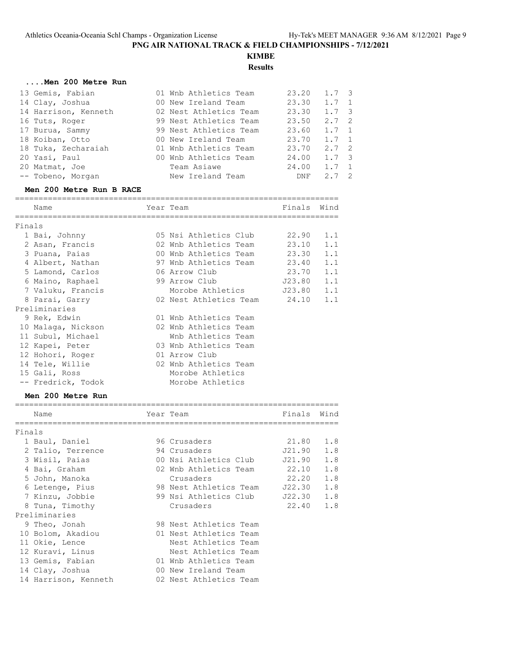## **KIMBE Results**

## **....Men 200 Metre Run**

| 13 Gemis, Fabian     | 01 Wnb Athletics Team  | 23.20 | $1.7 \quad 3$ |  |
|----------------------|------------------------|-------|---------------|--|
| 14 Clay, Joshua      | 00 New Ireland Team    | 23.30 | $1.7 \quad 1$ |  |
| 14 Harrison, Kenneth | 02 Nest Athletics Team | 23.30 | $1.7 \quad 3$ |  |
| 16 Tuts, Roger       | 99 Nest Athletics Team | 23.50 | $2.7 \quad 2$ |  |
| 17 Burua, Sammy      | 99 Nest Athletics Team | 23.60 | $1.7 \quad 1$ |  |
| 18 Koiban, Otto      | 00 New Ireland Team    | 23.70 | $1.7 \quad 1$ |  |
| 18 Tuka, Zecharaiah  | 01 Wnb Athletics Team  | 23.70 | $2.7 \quad 2$ |  |
| 20 Yasi, Paul        | 00 Wnb Athletics Team  | 24.00 | $1.7 \quad 3$ |  |
| 20 Matmat, Joe       | Team Asiawe            | 24.00 | $1.7 \quad 1$ |  |
| -- Tobeno, Morgan    | New Ireland Team       | DNF   | $2.7 \quad 2$ |  |

#### **Men 200 Metre Run B RACE**

|        | Name               | Year Team                    | Finals | Wind |
|--------|--------------------|------------------------------|--------|------|
|        |                    |                              |        |      |
| Finals |                    |                              |        |      |
|        | 1 Bai, Johnny      | 05 Nsi Athletics Club        | 22.90  | 1.1  |
|        | 2 Asan, Francis    | 02 Wnb Athletics Team        | 23.10  | 1.1  |
|        | 3 Puana, Paias     | 00 Wnb Athletics Team        | 23.30  | 1.1  |
|        | 4 Albert, Nathan   | 97 Wnb Athletics Team        | 23.40  | 1.1  |
|        | 5 Lamond, Carlos   | 06 Arrow Club                | 23.70  | 1.1  |
|        | 6 Maino, Raphael   | 99 Arrow Club                | J23.80 | 1.1  |
|        | 7 Valuku, Francis  | Morobe Athletics 523.80      |        | 1.1  |
|        | 8 Parai, Garry     | 02 Nest Athletics Team 24.10 |        | 1.1  |
|        | Preliminaries      |                              |        |      |
|        | 9 Rek, Edwin       | 01 Wnb Athletics Team        |        |      |
|        | 10 Malaga, Nickson | 02 Wnb Athletics Team        |        |      |
|        | 11 Subul, Michael  | Wnb Athletics Team           |        |      |
|        | 12 Kapei, Peter    | 03 Wnb Athletics Team        |        |      |
|        | 12 Hohori, Roger   | 01 Arrow Club                |        |      |
|        | 14 Tele, Willie    | 02 Wnb Athletics Team        |        |      |
|        | 15 Gali, Ross      | Morobe Athletics             |        |      |
|        | -- Fredrick, Todok | Morobe Athletics             |        |      |

## **Men 200 Metre Run**

|        | Name                 | Year Team                         | Finals    | Wind |
|--------|----------------------|-----------------------------------|-----------|------|
| Finals |                      |                                   |           |      |
|        |                      |                                   |           |      |
|        | 1 Baul, Daniel       | 96 Crusaders                      | 21.80 1.8 |      |
|        | 2 Talio, Terrence    | 94 Crusaders                      | J21.90    | 1.8  |
|        | 3 Wisil, Paias       | 00 Nsi Athletics Club             | J21.90    | 1.8  |
|        | 4 Bai, Graham        | 02 Wnb Athletics Team 22.10       |           | 1.8  |
|        | 5 John, Manoka       | Crusaders                         | 22.20     | 1.8  |
|        | 6 Letenge, Pius      | 98 Nest Athletics Team J22.30 1.8 |           |      |
|        | 7 Kinzu, Jobbie      | 99 Nsi Athletics Club J22.30 1.8  |           |      |
|        | 8 Tuna, Timothy      | Crusaders                         | 22.40 1.8 |      |
|        | Preliminaries        |                                   |           |      |
|        | 9 Theo, Jonah        | 98 Nest Athletics Team            |           |      |
|        | 10 Bolom, Akadiou    | 01 Nest Athletics Team            |           |      |
|        | 11 Okie, Lence       | Nest Athletics Team               |           |      |
|        | 12 Kuravi, Linus     | Nest Athletics Team               |           |      |
|        | 13 Gemis, Fabian     | 01 Wnb Athletics Team             |           |      |
|        | 14 Clay, Joshua      | 00 New Ireland Team               |           |      |
|        | 14 Harrison, Kenneth | 02 Nest Athletics Team            |           |      |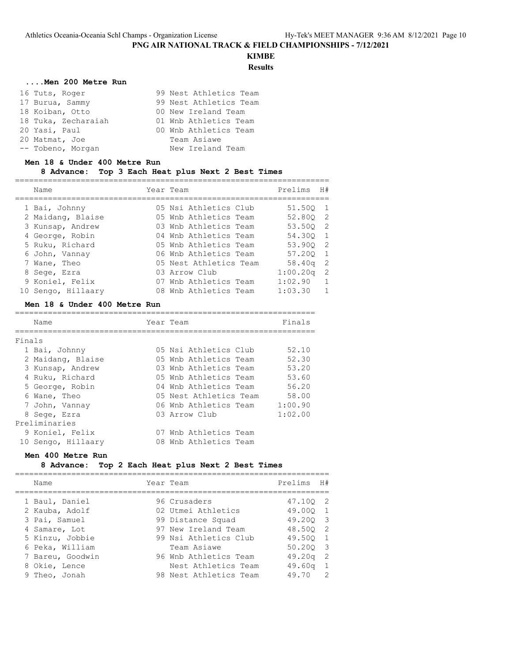# **KIMBE**

## **Results**

## **....Men 200 Metre Run**

| 16 Tuts, Roger      | 99 Nest Athletics Team |
|---------------------|------------------------|
| 17 Burua, Sammy     | 99 Nest Athletics Team |
| 18 Koiban, Otto     | 00 New Ireland Team    |
| 18 Tuka, Zecharaiah | 01 Wnb Athletics Team  |
| 20 Yasi, Paul       | 00 Wnb Athletics Team  |
| 20 Matmat, Joe      | Team Asiawe            |
| -- Tobeno, Morgan   | New Ireland Team       |

#### **Men 18 & Under 400 Metre Run**

## **8 Advance: Top 3 Each Heat plus Next 2 Best Times**

|  | Name               | Year Team              | Prelims         | H#             |
|--|--------------------|------------------------|-----------------|----------------|
|  | 1 Bai, Johnny      | 05 Nsi Athletics Club  | 51.500 1        |                |
|  | 2 Maidang, Blaise  | 05 Wnb Athletics Team  | 52.800 2        |                |
|  | 3 Kunsap, Andrew   | 03 Wnb Athletics Team  | 53.500 2        |                |
|  | 4 George, Robin    | 04 Wnb Athletics Team  | 54.300 1        |                |
|  | 5 Ruku, Richard    | 05 Wnb Athletics Team  | 53.900 2        |                |
|  | 6 John, Vannay     | 06 Wnb Athletics Team  | 57.200 1        |                |
|  | 7 Wane, Theo       | 05 Nest Athletics Team | 58.40q          | 2              |
|  | 8 Sege, Ezra       | 03 Arrow Club          | $1:00.20\sigma$ | 2              |
|  | 9 Koniel, Felix    | 07 Wnb Athletics Team  | 1:02.90         | $\overline{1}$ |
|  | 10 Sengo, Hillaary | 08 Wnb Athletics Team  | 1:03.30         |                |
|  |                    |                        |                 |                |

#### **Men 18 & Under 400 Metre Run**

|        | Name               | Year Team |                        | Finals  |
|--------|--------------------|-----------|------------------------|---------|
| Finals |                    |           |                        |         |
|        | 1 Bai, Johnny      |           | 05 Nsi Athletics Club  | 52.10   |
|        | 2 Maidang, Blaise  |           | 05 Wnb Athletics Team  | 52.30   |
|        | 3 Kunsap, Andrew   |           | 03 Wnb Athletics Team  | 53.20   |
|        | 4 Ruku, Richard    |           | 05 Wnb Athletics Team  | 53.60   |
|        | 5 George, Robin    |           | 04 Wnb Athletics Team  | 56.20   |
|        | 6 Wane, Theo       |           | 05 Nest Athletics Team | 58.00   |
|        | 7 John, Vannay     |           | 06 Wnb Athletics Team  | 1:00.90 |
|        | 8 Sege, Ezra       |           | 03 Arrow Club          | 1:02.00 |
|        | Preliminaries      |           |                        |         |
|        | 9 Koniel, Felix    | 07.       | Wnb Athletics Team     |         |
|        | 10 Sengo, Hillaary | 08        | Wnb Athletics Team     |         |

### **Men 400 Metre Run**

#### **8 Advance: Top 2 Each Heat plus Next 2 Best Times**

| Name                                | Year Team                                     | Prelims              | H#                               |
|-------------------------------------|-----------------------------------------------|----------------------|----------------------------------|
| 1 Baul, Daniel<br>2 Kauba, Adolf    | 96 Crusaders<br>02 Utmei Athletics            | 47.100 2<br>49.000 1 |                                  |
| 3 Pai, Samuel                       | 99 Distance Squad                             | 49.200 3             |                                  |
| 4 Samare, Lot<br>5 Kinzu, Jobbie    | 97 New Ireland Team<br>99 Nsi Athletics Club  | 48.500 2<br>49.500 1 |                                  |
| 6 Peka, William<br>7 Bareu, Goodwin | Team Asiawe<br>96 Wnb Athletics Team          | 50.200 3<br>49.20q   | $\overline{\phantom{0}}^2$       |
| 8 Okie, Lence<br>9 Theo, Jonah      | Nest Athletics Team<br>98 Nest Athletics Team | 49.60q<br>49.70      | $\overline{1}$<br>$\overline{2}$ |
|                                     |                                               |                      |                                  |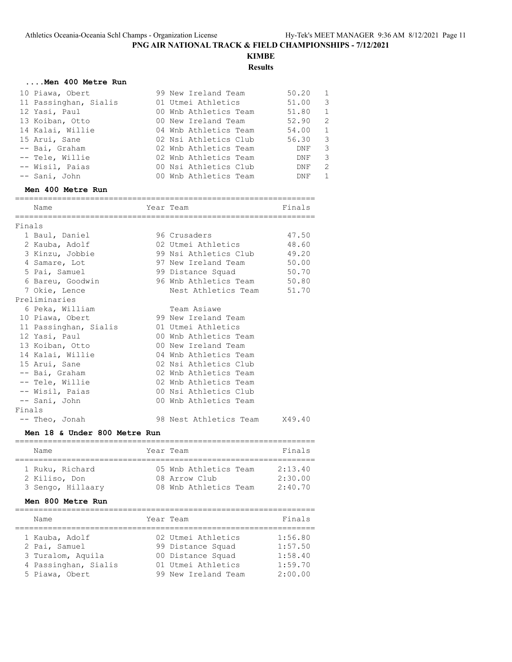## **KIMBE Results**

#### **....Men 400 Metre Run**

| 10 Piawa, Obert       | 99 New Ireland Team   | 50.20<br>$\overline{1}$          |
|-----------------------|-----------------------|----------------------------------|
| 11 Passinghan, Sialis | 01 Utmei Athletics    | $\overline{\mathbf{3}}$<br>51.00 |
| 12 Yasi, Paul         | 00 Wnb Athletics Team | 51.80<br>1                       |
| 13 Koiban, Otto       | 00 New Ireland Team   | -2<br>52.90                      |
| 14 Kalai, Willie      | 04 Wnb Athletics Team | 54.00<br>$\overline{1}$          |
| 15 Arui, Sane         | 02 Nsi Athletics Club | 56.30<br>$\overline{\mathbf{3}}$ |
| -- Bai, Graham        | 02 Wnb Athletics Team | -3<br>DNF                        |
| -- Tele, Willie       | 02 Wnb Athletics Team | -3<br>DNF                        |
| -- Wisil, Paias       | 00 Nsi Athletics Club | -2<br>DNF                        |
| -- Sani, John         | 00 Wnb Athletics Team | -1<br>DNF                        |

## **Men 400 Metre Run**

| Name                  | Year Team                   | Finals |
|-----------------------|-----------------------------|--------|
|                       | --------------------        |        |
| Finals                |                             |        |
| 1 Baul, Daniel        | 96 Crusaders                | 47.50  |
| 2 Kauba, Adolf        | 02 Utmei Athletics          | 48.60  |
| 3 Kinzu, Jobbie       | 99 Nsi Athletics Club 49.20 |        |
| 4 Samare, Lot         | 97 New Ireland Team 50.00   |        |
| 5 Pai, Samuel         | 99 Distance Squad           | 50.70  |
| 6 Bareu, Goodwin      | 96 Wnb Athletics Team 50.80 |        |
| 7 Okie, Lence         | Nest Athletics Team 51.70   |        |
| Preliminaries         |                             |        |
| 6 Peka, William       | Team Asiawe                 |        |
| 10 Piawa, Obert       | 99 New Ireland Team         |        |
| 11 Passinghan, Sialis | 01 Utmei Athletics          |        |
| 12 Yasi, Paul         | 00 Wnb Athletics Team       |        |
| 13 Koiban, Otto       | 00 New Ireland Team         |        |
| 14 Kalai, Willie      | 04 Wnb Athletics Team       |        |
| 15 Arui, Sane         | 02 Nsi Athletics Club       |        |
| -- Bai, Graham        | 02 Wnb Athletics Team       |        |
| -- Tele, Willie       | 02 Wnb Athletics Team       |        |
| -- Wisil, Paias       | 00 Nsi Athletics Club       |        |
| -- Sani, John         | 00 Wnb Athletics Team       |        |
| Finals                |                             |        |
| -- Theo, Jonah        | 98 Nest Athletics Team      | X49.40 |

#### **Men 18 & Under 800 Metre Run**

| Name                                                  | Year Team                                                       | Finals                        |
|-------------------------------------------------------|-----------------------------------------------------------------|-------------------------------|
| 1 Ruku, Richard<br>2 Kiliso, Don<br>3 Sengo, Hillaary | 05 Wnb Athletics Team<br>08 Arrow Club<br>08 Wnb Athletics Team | 2:13.40<br>2:30.00<br>2:40.70 |

## **Men 800 Metre Run**

| Name                                                                                           | Year Team |                                                                                                           | Finals                                              |
|------------------------------------------------------------------------------------------------|-----------|-----------------------------------------------------------------------------------------------------------|-----------------------------------------------------|
| 1 Kauba, Adolf<br>2 Pai, Samuel<br>3 Turalom, Aquila<br>4 Passinghan, Sialis<br>5 Piawa, Obert |           | 02 Utmei Athletics<br>99 Distance Squad<br>00 Distance Squad<br>01 Utmei Athletics<br>99 New Ireland Team | 1:56.80<br>1:57.50<br>1:58.40<br>1:59.70<br>2:00.00 |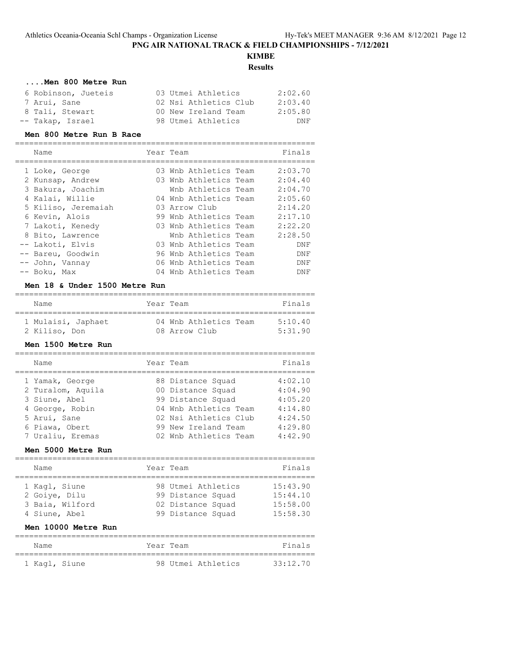## **KIMBE Results**

## **....Men 800 Metre Run**

| 6 Robinson, Jueteis | 03 Utmei Athletics    | 2:02.60 |
|---------------------|-----------------------|---------|
| 7 Arui, Sane        | 02 Nsi Athletics Club | 2:03.40 |
| 8 Tali, Stewart     | 00 New Ireland Team   | 2:05.80 |
| -- Takap, Israel    | 98 Utmei Athletics    | DNF     |
|                     |                       |         |

#### **Men 800 Metre Run B Race**

| Name                | Year Team             | Finals     |
|---------------------|-----------------------|------------|
| 1 Loke, George      | 03 Wnb Athletics Team | 2:03.70    |
| 2 Kunsap, Andrew    | 03 Wnb Athletics Team | 2:04.40    |
| 3 Bakura, Joachim   | Wnb Athletics Team    | 2:04.70    |
| 4 Kalai, Willie     | 04 Wnb Athletics Team | 2:05.60    |
| 5 Kiliso, Jeremaiah | 03 Arrow Club         | 2:14.20    |
| 6 Kevin, Alois      | 99 Wnb Athletics Team | 2:17.10    |
| 7 Lakoti, Kenedy    | 03 Wnb Athletics Team | 2:22.20    |
| 8 Bito, Lawrence    | Wnb Athletics Team    | 2:28.50    |
| -- Lakoti, Elvis    | 03 Wnb Athletics Team | <b>DNF</b> |
| -- Bareu, Goodwin   | 96 Wnb Athletics Team | DNF        |
| -- John, Vannay     | 06 Wnb Athletics Team | DNF        |
| -- Boku, Max        | 04 Wnb Athletics Team | DNF        |

#### **Men 18 & Under 1500 Metre Run**

| Name               | Year Team |                       | Finals         |
|--------------------|-----------|-----------------------|----------------|
| 1 Mulaisi, Japhaet |           | 04 Wnb Athletics Team | $5 \cdot 1040$ |
| 2 Kiliso, Don      |           | 08 Arrow Club         | 5.3190         |

#### **Men 1500 Metre Run**

| Name                                 | Year Team                              | Finals             |
|--------------------------------------|----------------------------------------|--------------------|
| 1 Yamak, George<br>2 Turalom, Aquila | 88 Distance Squad<br>00 Distance Squad | 4:02.10<br>4:04.90 |
| 3 Siune, Abel                        | 99 Distance Squad                      | 4:05.20            |
| 4 George, Robin                      | 04 Wnb Athletics Team                  | 4:14.80            |
| 5 Arui, Sane                         | 02 Nsi Athletics Club                  | 4:24.50            |
| 6 Piawa, Obert                       | 99 New Ireland Team                    | 4:29.80            |
| 7 Uraliu, Eremas                     | 02 Wnb Athletics Team                  | 4:42.90            |

#### **Men 5000 Metre Run**

| Name            | Year Team |                    | Finals   |
|-----------------|-----------|--------------------|----------|
|                 |           |                    |          |
| 1 Kagl, Siune   |           | 98 Utmei Athletics | 15:43.90 |
| 2 Goiye, Dilu   |           | 99 Distance Squad  | 15:44.10 |
| 3 Baia, Wilford |           | 02 Distance Squad  | 15:58.00 |
| 4 Siune, Abel   |           | 99 Distance Squad  | 15:58.30 |

#### **Men 10000 Metre Run**

| Name          |  | Year Team |                    | Finals   |
|---------------|--|-----------|--------------------|----------|
| 1 Kaql, Siune |  |           | 98 Utmei Athletics | 33:12.70 |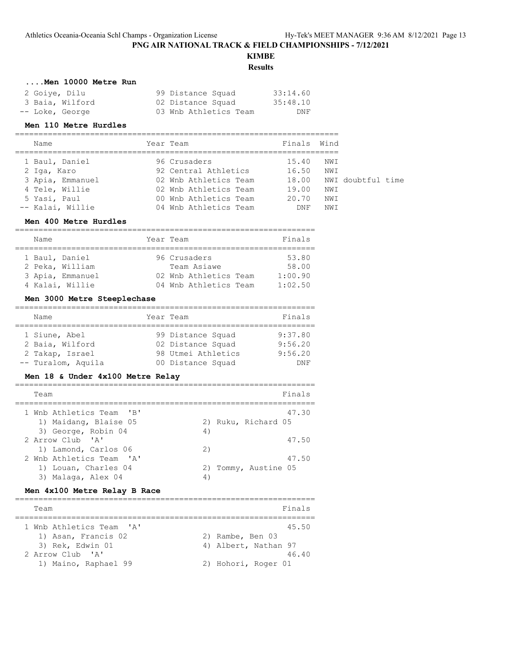# **KIMBE**

## **Results**

## **....Men 10000 Metre Run**

| 2 Goiye, Dilu   | 99 Distance Squad     | 33:14.60 |
|-----------------|-----------------------|----------|
| 3 Baia, Wilford | 02 Distance Squad     | 35:48.10 |
| -- Loke, George | 03 Wnb Athletics Team | DNF      |

#### **Men 110 Metre Hurdles**

| Name             | Year Team             | Finals Wind |      |                   |  |
|------------------|-----------------------|-------------|------|-------------------|--|
| 1 Baul, Daniel   | 96 Crusaders          | 15.40       | NWI  |                   |  |
| 2 Iga, Karo      | 92 Central Athletics  | 16.50       | NWI  |                   |  |
| 3 Apia, Emmanuel | 02 Wnb Athletics Team | 18.00       |      | NWI doubtful time |  |
| 4 Tele, Willie   | 02 Wnb Athletics Team | 19.00       | NWI  |                   |  |
| 5 Yasi, Paul     | 00 Wnb Athletics Team | 20.70       | NW I |                   |  |
| -- Kalai, Willie | 04 Wnb Athletics Team | DNF         | NW I |                   |  |

#### **Men 400 Metre Hurdles**

| Name |                  | Year Team             | Finals  |
|------|------------------|-----------------------|---------|
|      |                  |                       |         |
|      | 1 Baul, Daniel   | 96 Crusaders          | 53.80   |
|      | 2 Peka, William  | Team Asiawe           | 58.00   |
|      | 3 Apia, Emmanuel | 02 Wnb Athletics Team | 1:00.90 |
|      | 4 Kalai, Willie  | 04 Wnb Athletics Team | 1:02.50 |

## **Men 3000 Metre Steeplechase**

| Name               | Year Team          | Finals  |
|--------------------|--------------------|---------|
|                    |                    |         |
| 1 Siune, Abel      | 99 Distance Squad  | 9:37.80 |
| 2 Baia, Wilford    | 02 Distance Squad  | 9:56.20 |
| 2 Takap, Israel    | 98 Utmei Athletics | 9:56.20 |
| -- Turalom, Aquila | 00 Distance Squad  | DNF     |

#### **Men 18 & Under 4x100 Metre Relay**

| Team                     |    | Finals               |
|--------------------------|----|----------------------|
| 1 Wnb Athletics Team 'B' |    | 47.30                |
| 1) Maidang, Blaise 05    |    | 2) Ruku, Richard 05  |
| 3) George, Robin 04      | 4) |                      |
| 2 Arrow Club 'A'         |    | 47.50                |
| 1) Lamond, Carlos 06     | 2) |                      |
| 2 Wnb Athletics Team 'A' |    | 47.50                |
| 1) Louan, Charles 04     |    | 2) Tommy, Austine 05 |
| 3) Malaga, Alex 04       | 4  |                      |

#### **Men 4x100 Metre Relay B Race**

| Team                     | Finals               |
|--------------------------|----------------------|
| 1 Wnb Athletics Team 'A' | 45.50                |
| 1) Asan, Francis 02      | 2) Rambe, Ben 03     |
| 3) Rek, Edwin 01         | 4) Albert, Nathan 97 |
| 2 Arrow Club 'A'         | 46.40                |
| 1) Maino, Raphael 99     | 2) Hohori, Roger 01  |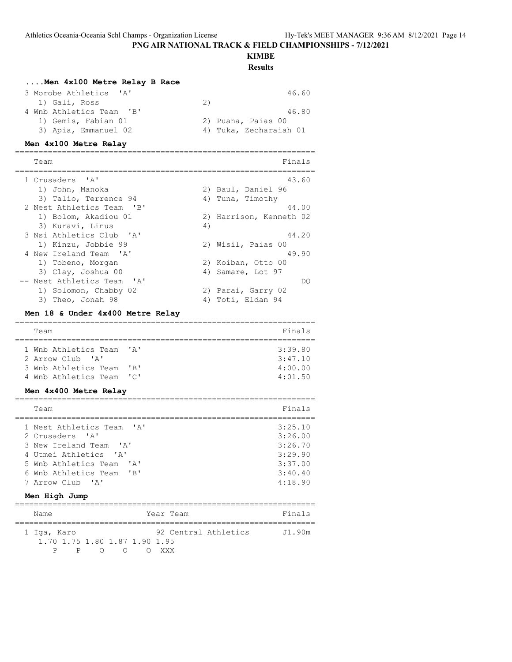## **KIMBE**

**Results**

## **....Men 4x100 Metre Relay B Race**

| 3 Morobe Athletics 'A'   | 46.60                  |
|--------------------------|------------------------|
| 1) Gali, Ross            | 2)                     |
| 4 Wnb Athletics Team 'B' | 46.80                  |
| 1) Gemis, Fabian 01      | 2) Puana, Paias 00     |
| 3) Apia, Emmanuel 02     | 4) Tuka, Zecharaiah 01 |

#### **Men 4x100 Metre Relay**

================================================================ Finals ================================================================ 1 Crusaders 'A' 43.60 1) John, Manoka 2) Baul, Daniel 96 3) Talio, Terrence 94 (4) Tuna, Timothy 2 Nest Athletics Team 'B' 44.00 1) Bolom, Akadiou 01 2) Harrison, Kenneth 02 3) Kuravi, Linus (4) 3 Nsi Athletics Club 'A' 44.20 1) Kinzu, Jobbie 99 2) Wisil, Paias 00 4 New Ireland Team 'A' 49.90 1) Tobeno, Morgan 2) Koiban, Otto 00 3) Clay, Joshua 00 4) Samare, Lot 97 -- Nest Athletics Team 'A' DQ 1) Solomon, Chabby 02 2) Parai, Garry 02 3) Theo, Jonah 98 4) Toti, Eldan 94

#### **Men 18 & Under 4x400 Metre Relay**

| Team                 |                                              | Finals  |
|----------------------|----------------------------------------------|---------|
|                      |                                              |         |
| 1 Wnb Athletics Team | $\mathsf{I} \wedge \mathsf{I}$               | 3:39.80 |
| 2 Arrow Club 'A'     |                                              | 3:47.10 |
| 3 Wnb Athletics Team | $^{\prime}$ B <sup><math>\prime</math></sup> | 4:00.00 |
| 4 Wnb Athletics Team | $\overline{\phantom{a}}$                     | 4:01.50 |

#### **Men 4x400 Metre Relay**

| Team                      | Finals  |
|---------------------------|---------|
| 1 Nest Athletics Team 'A' | 3:25.10 |
| 2 Crusaders 'A'           | 3:26.00 |
| 3 New Ireland Team 'A'    | 3:26.70 |
| 4 Utmei Athletics 'A'     | 3:29.90 |
| 5 Wnb Athletics Team 'A'  | 3:37.00 |
| 6 Wnb Athletics Team 'B'  | 3:40.40 |
| 7 Arrow Club 'A'          | 4:18.90 |

#### **Men High Jump**

| Name                                         |          |                 |     | Year Team |                      | Finals |
|----------------------------------------------|----------|-----------------|-----|-----------|----------------------|--------|
| 1 Iga, Karo<br>1.70 1.75 1.80 1.87 1.90 1.95 |          |                 |     |           | 92 Central Athletics | J1.90m |
|                                              | $P \t P$ | $\left(\right)$ | ( ) | O XXX     |                      |        |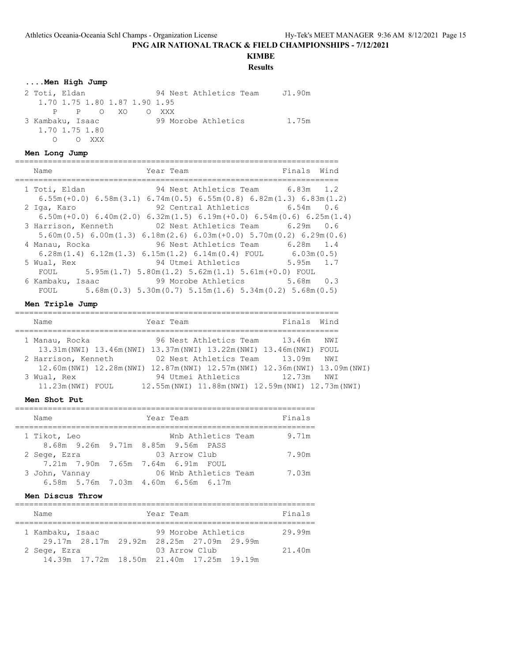## **KIMBE**

**Results**

## **....Men High Jump**

| 2 Toti, Eldan                 | 94 Nest Athletics Team | J1.90m |
|-------------------------------|------------------------|--------|
| 1.70 1.75 1.80 1.87 1.90 1.95 |                        |        |
| PP OXO                        | O XXX                  |        |
| 3 Kambaku, Isaac              | 99 Morobe Athletics    | 1.75m  |
| 1.70 1.75 1.80                |                        |        |
| O XXX                         |                        |        |

## **Men Long Jump**

| Name             | Year Team                                                                               | Finals<br>Wind |
|------------------|-----------------------------------------------------------------------------------------|----------------|
|                  |                                                                                         |                |
| 1 Toti, Eldan    | 94 Nest Athletics Team 6.83m 1.2                                                        |                |
|                  | $6.55m (+0.0)$ $6.58m(3.1)$ $6.74m(0.5)$ $6.55m(0.8)$ $6.82m(1.3)$ $6.83m(1.2)$         |                |
| 2 Iga, Karo      | 92 Central Athletics 6.54m 0.6                                                          |                |
|                  | $6.50$ m(+0.0) $6.40$ m(2.0) $6.32$ m(1.5) $6.19$ m(+0.0) $6.54$ m(0.6) $6.25$ m(1.4)   |                |
|                  | 3 Harrison, Kenneth 602 Nest Athletics Team                                             | 6.29m 0.6      |
|                  | $5.60$ m $(0.5)$ 6.00m $(1.3)$ 6.18m $(2.6)$ 6.03m $(+0.0)$ 5.70m $(0.2)$ 6.29m $(0.6)$ |                |
| 4 Manau, Rocka   | 96 Nest Athletics Team 6.28m 1.4                                                        |                |
|                  | $6.28$ m $(1.4)$ $6.12$ m $(1.3)$ $6.15$ m $(1.2)$ $6.14$ m $(0.4)$ FOUL                | 6.03m(0.5)     |
| 5 Wual, Rex      | 94 Utmei Athletics                                                                      | 5.95m 1.7      |
|                  | FOUL $5.95m(1.7) 5.80m(1.2) 5.62m(1.1) 5.61m(+0.0) F0UL$                                |                |
| 6 Kambaku, Isaac | 99 Morobe Athletics                                                                     | 5.68m 0.3      |
| FOUL             | 5.68m(0.3) 5.30m(0.7) 5.15m(1.6) 5.34m(0.2) 5.68m(0.5)                                  |                |
|                  |                                                                                         |                |

#### **Men Triple Jump**

| Name                                                                          | Year Team |                    |                                                     | Finals Wind |  |
|-------------------------------------------------------------------------------|-----------|--------------------|-----------------------------------------------------|-------------|--|
|                                                                               |           |                    |                                                     |             |  |
| 1 Manau, Rocka                                                                |           |                    | 96 Nest Athletics Team 13.46m                       | NWI         |  |
| 13.31m(NWI) 13.46m(NWI) 13.37m(NWI) 13.22m(NWI) 13.46m(NWI) FOUL              |           |                    |                                                     |             |  |
| 2 Harrison, Kenneth                                                           |           |                    | 02 Nest Athletics Team 13.09m                       | NWI         |  |
| 12.60m (NWI) 12.28m (NWI) 12.87m (NWI) 12.57m (NWI) 12.36m (NWI) 13.09m (NWI) |           |                    |                                                     |             |  |
| 3 Wual, Rex                                                                   |           | 94 Utmei Athletics | 12.73m                                              | NWI         |  |
| 11.23m (NWI) FOUL                                                             |           |                    | 12.55m (NWI) 11.88m (NWI) 12.59m (NWI) 12.73m (NWI) |             |  |

## **Men Shot Put**

| Name           |  | Year Team |                                     | Finals |
|----------------|--|-----------|-------------------------------------|--------|
| 1 Tikot, Leo   |  |           | Wnb Athletics Team                  | 9.71m  |
|                |  |           | 8.68m 9.26m 9.71m 8.85m 9.56m PASS  |        |
| 2 Sege, Ezra   |  |           | 03 Arrow Club                       | 7.90m  |
|                |  |           | 7.21m 7.90m 7.65m 7.64m 6.91m FOUL  |        |
| 3 John, Vannay |  |           | 06 Wnb Athletics Team               | 7.03m  |
|                |  |           | 6.58m 5.76m 7.03m 4.60m 6.56m 6.17m |        |

#### **Men Discus Throw**

| Name             |                                           |  | Year Team |                     |  | Finals |
|------------------|-------------------------------------------|--|-----------|---------------------|--|--------|
| 1 Kambaku, Isaac | 29.17m 28.17m 29.92m 28.25m 27.09m 29.99m |  |           | 99 Morobe Athletics |  | 29.99m |
| 2 Sege, Ezra     | 14.39m 17.72m 18.50m 21.40m 17.25m 19.19m |  |           | 03 Arrow Club       |  | 21.40m |